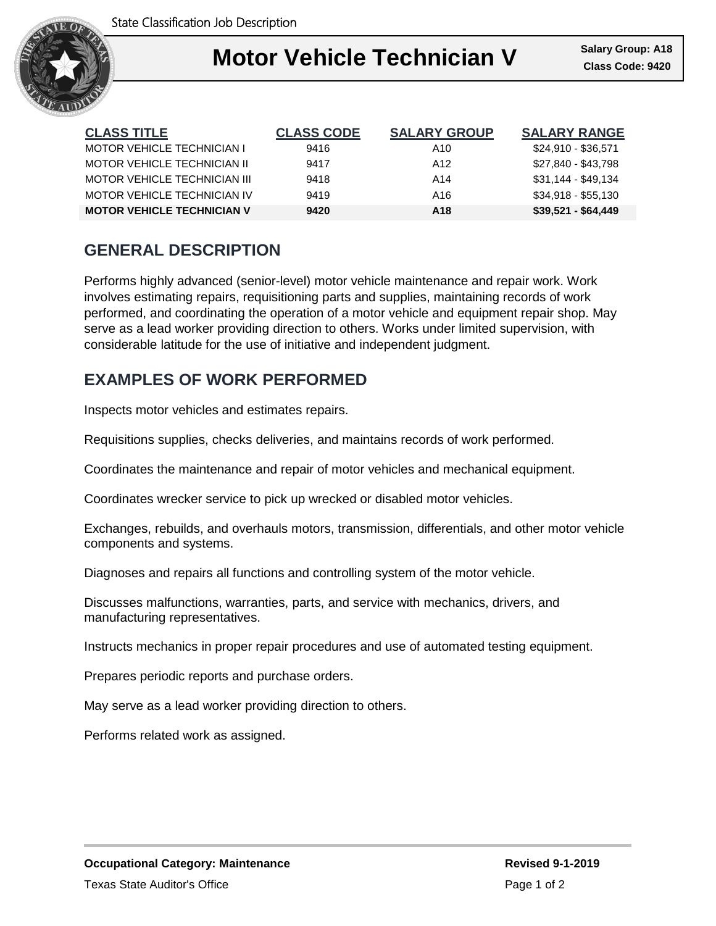

## I **Motor Vehicle Technician V Class Code: 9420**

| <b>CLASS TITLE</b>                | <b>CLASS CODE</b> | <b>SALARY GROUP</b> | <b>SALARY RANGE</b> |
|-----------------------------------|-------------------|---------------------|---------------------|
| <b>MOTOR VEHICLE TECHNICIAN I</b> | 9416              | A10                 | \$24,910 - \$36,571 |
| MOTOR VEHICLE TECHNICIAN II       | 9417              | A <sub>12</sub>     | \$27,840 - \$43,798 |
| MOTOR VEHICLE TECHNICIAN III      | 9418              | A14                 | $$31,144 - $49,134$ |
| MOTOR VEHICLE TECHNICIAN IV       | 9419              | A16                 | $$34,918 - $55,130$ |
| <b>MOTOR VEHICLE TECHNICIAN V</b> | 9420              | A <sub>18</sub>     | $$39,521 - $64,449$ |

# **GENERAL DESCRIPTION**

Performs highly advanced (senior-level) motor vehicle maintenance and repair work. Work involves estimating repairs, requisitioning parts and supplies, maintaining records of work performed, and coordinating the operation of a motor vehicle and equipment repair shop. May serve as a lead worker providing direction to others. Works under limited supervision, with considerable latitude for the use of initiative and independent judgment.

## **EXAMPLES OF WORK PERFORMED**

Inspects motor vehicles and estimates repairs.

Requisitions supplies, checks deliveries, and maintains records of work performed.

Coordinates the maintenance and repair of motor vehicles and mechanical equipment.

Coordinates wrecker service to pick up wrecked or disabled motor vehicles.

Exchanges, rebuilds, and overhauls motors, transmission, differentials, and other motor vehicle components and systems.

Diagnoses and repairs all functions and controlling system of the motor vehicle.

Discusses malfunctions, warranties, parts, and service with mechanics, drivers, and manufacturing representatives.

Instructs mechanics in proper repair procedures and use of automated testing equipment.

Prepares periodic reports and purchase orders.

May serve as a lead worker providing direction to others.

Performs related work as assigned.